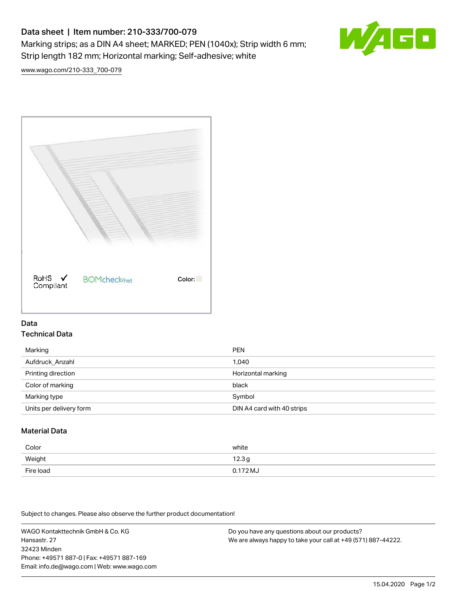# Data sheet | Item number: 210-333/700-079 Marking strips; as a DIN A4 sheet; MARKED; PEN (1040x); Strip width 6 mm; Strip length 182 mm; Horizontal marking; Self-adhesive; white



[www.wago.com/210-333\\_700-079](http://www.wago.com/210-333_700-079)



### Data Technical Data

| Marking                 | <b>PEN</b>                 |
|-------------------------|----------------------------|
| Aufdruck Anzahl         | 1.040                      |
| Printing direction      | Horizontal marking         |
| Color of marking        | black                      |
| Marking type            | Symbol                     |
| Units per delivery form | DIN A4 card with 40 strips |

## Material Data

| Color     | white               |
|-----------|---------------------|
| Weight    | 12.3g               |
| Fire load | $0.172 \mathrm{MJ}$ |

Subject to changes. Please also observe the further product documentation!

WAGO Kontakttechnik GmbH & Co. KG Hansastr. 27 32423 Minden Phone: +49571 887-0 | Fax: +49571 887-169 Email: info.de@wago.com | Web: www.wago.com

Do you have any questions about our products? We are always happy to take your call at +49 (571) 887-44222.